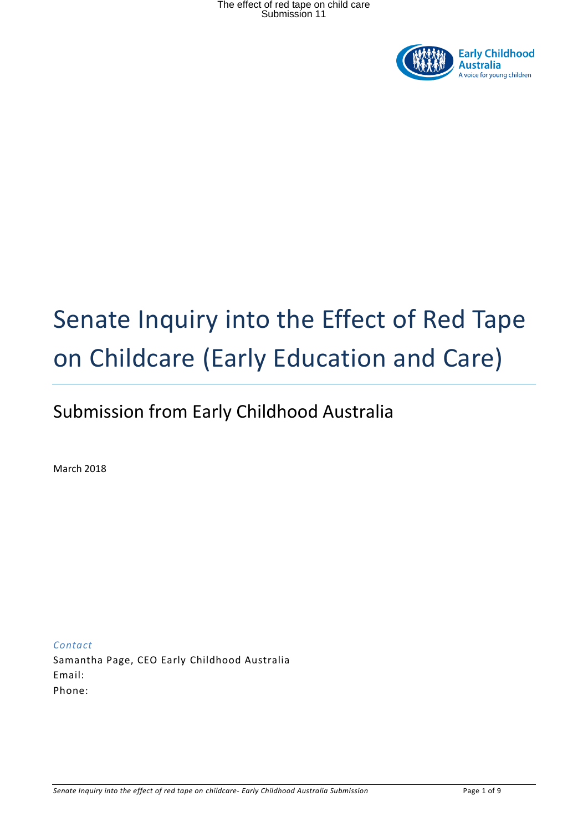

# Senate Inquiry into the Effect of Red Tape on Childcare (Early Education and Care)

## Submission from Early Childhood Australia

March 2018

*Contact*  Samantha Page, CEO Early Childhood Australia Email: Phone: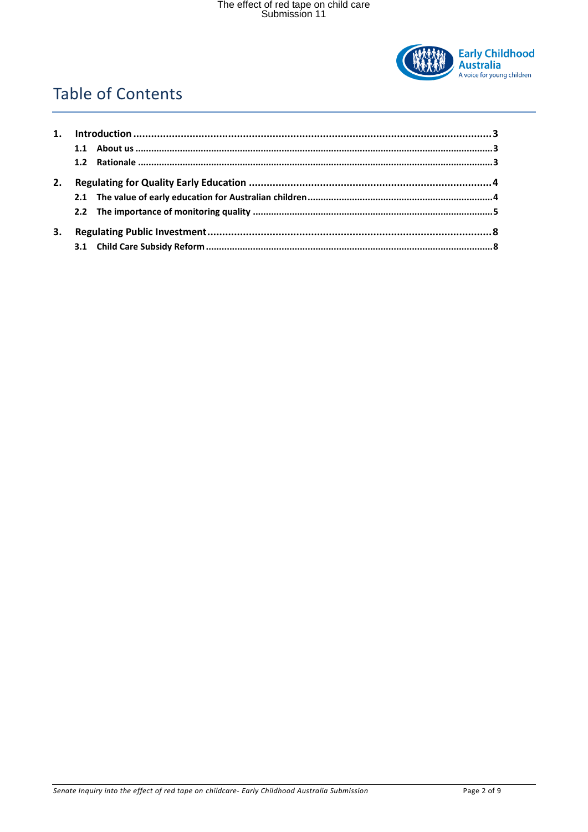

### **Table of Contents**

| 2. |  |  |  |
|----|--|--|--|
|    |  |  |  |
|    |  |  |  |
| 3. |  |  |  |
|    |  |  |  |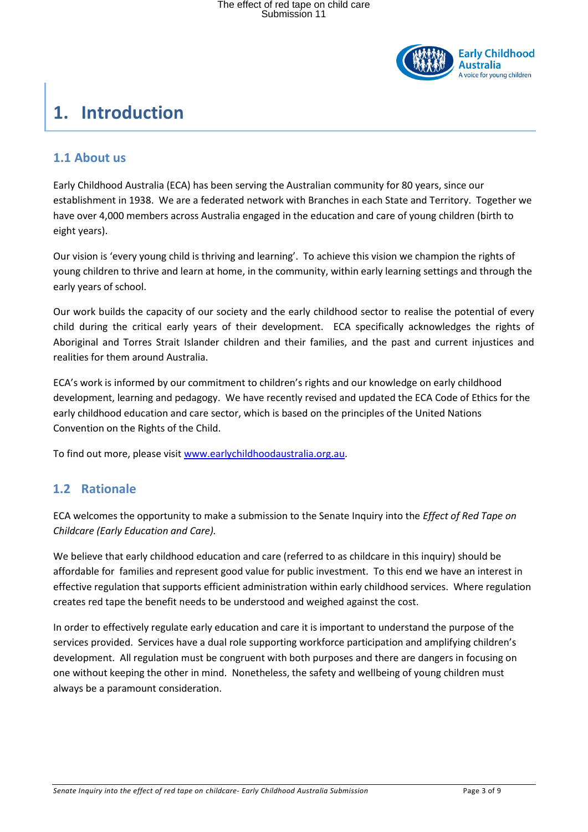

### <span id="page-2-0"></span>**1. Introduction**

#### <span id="page-2-1"></span>**1.1 About us**

Early Childhood Australia (ECA) has been serving the Australian community for 80 years, since our establishment in 1938. We are a federated network with Branches in each State and Territory. Together we have over 4,000 members across Australia engaged in the education and care of young children (birth to eight years).

Our vision is 'every young child is thriving and learning'. To achieve this vision we champion the rights of young children to thrive and learn at home, in the community, within early learning settings and through the early years of school.

Our work builds the capacity of our society and the early childhood sector to realise the potential of every child during the critical early years of their development. ECA specifically acknowledges the rights of Aboriginal and Torres Strait Islander children and their families, and the past and current injustices and realities for them around Australia.

ECA's work is informed by our commitment to children's rights and our knowledge on early childhood development, learning and pedagogy. We have recently revised and updated the ECA Code of Ethics for the early childhood education and care sector, which is based on the principles of the United Nations Convention on the Rights of the Child.

<span id="page-2-2"></span>To find out more, please visit [www.earlychildhoodaustralia.org.au.](http://www.earlychildhoodaustralia.org.au/)

### **1.2 Rationale**

ECA welcomes the opportunity to make a submission to the Senate Inquiry into the *Effect of Red Tape on Childcare (Early Education and Care).*

We believe that early childhood education and care (referred to as childcare in this inquiry) should be affordable for families and represent good value for public investment. To this end we have an interest in effective regulation that supports efficient administration within early childhood services. Where regulation creates red tape the benefit needs to be understood and weighed against the cost.

In order to effectively regulate early education and care it is important to understand the purpose of the services provided. Services have a dual role supporting workforce participation and amplifying children's development. All regulation must be congruent with both purposes and there are dangers in focusing on one without keeping the other in mind. Nonetheless, the safety and wellbeing of young children must always be a paramount consideration.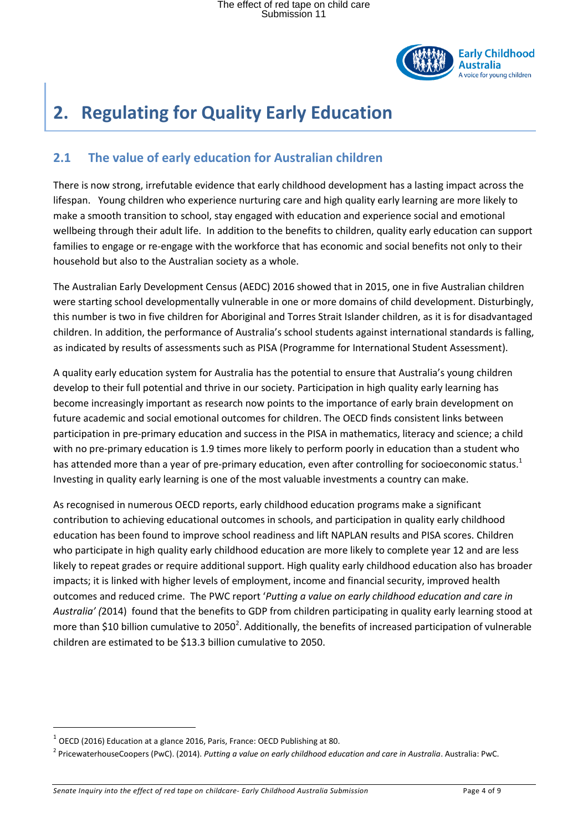

# <span id="page-3-0"></span>**2. Regulating for Quality Early Education**

### <span id="page-3-1"></span>**2.1 The value of early education for Australian children**

There is now strong, irrefutable evidence that early childhood development has a lasting impact across the lifespan. Young children who experience nurturing care and high quality early learning are more likely to make a smooth transition to school, stay engaged with education and experience social and emotional wellbeing through their adult life. In addition to the benefits to children, quality early education can support families to engage or re-engage with the workforce that has economic and social benefits not only to their household but also to the Australian society as a whole.

The Australian Early Development Census (AEDC) 2016 showed that in 2015, one in five Australian children were starting school developmentally vulnerable in one or more domains of child development. Disturbingly, this number is two in five children for Aboriginal and Torres Strait Islander children, as it is for disadvantaged children. In addition, the performance of Australia's school students against international standards is falling, as indicated by results of assessments such as PISA (Programme for International Student Assessment).

A quality early education system for Australia has the potential to ensure that Australia's young children develop to their full potential and thrive in our society. Participation in high quality early learning has become increasingly important as research now points to the importance of early brain development on future academic and social emotional outcomes for children. The OECD finds consistent links between participation in pre-primary education and success in the PISA in mathematics, literacy and science; a child with no pre-primary education is 1.9 times more likely to perform poorly in education than a student who has attended more than a year of pre-primary education, even after controlling for socioeconomic status.<sup>1</sup> Investing in quality early learning is one of the most valuable investments a country can make.

As recognised in numerous OECD reports, early childhood education programs make a significant contribution to achieving educational outcomes in schools, and participation in quality early childhood education has been found to improve school readiness and lift NAPLAN results and PISA scores. Children who participate in high quality early childhood education are more likely to complete year 12 and are less likely to repeat grades or require additional support. High quality early childhood education also has broader impacts; it is linked with higher levels of employment, income and financial security, improved health outcomes and reduced crime. The PWC report '*Putting a value on early childhood education and care in Australia' (*2014) found that the benefits to GDP from children participating in quality early learning stood at more than \$10 billion cumulative to 2050<sup>2</sup>. Additionally, the benefits of increased participation of vulnerable children are estimated to be \$13.3 billion cumulative to 2050.

l

 $^1$  OECD (2016) Education at a glance 2016, Paris, France: OECD Publishing at 80.

<sup>2</sup> PricewaterhouseCoopers (PwC). (2014). *Putting a value on early childhood education and care in Australia*. Australia: PwC.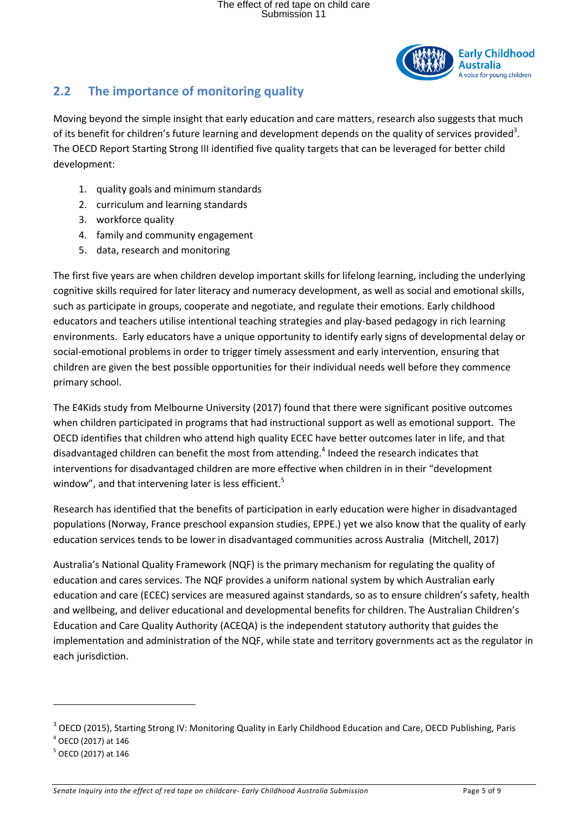

### <span id="page-4-0"></span>**2.2 The importance of monitoring quality**

Moving beyond the simple insight that early education and care matters, research also suggests that much of its benefit for children's future learning and development depends on the quality of services provided<sup>3</sup>. The OECD Report Starting Strong III identified five quality targets that can be leveraged for better child development:

- 1. quality goals and minimum standards
- 2. curriculum and learning standards
- 3. workforce quality
- 4. family and community engagement
- 5. data, research and monitoring

The first five years are when children develop important skills for lifelong learning, including the underlying cognitive skills required for later literacy and numeracy development, as well as social and emotional skills, such as participate in groups, cooperate and negotiate, and regulate their emotions. Early childhood educators and teachers utilise intentional teaching strategies and play-based pedagogy in rich learning environments. Early educators have a unique opportunity to identify early signs of developmental delay or social-emotional problems in order to trigger timely assessment and early intervention, ensuring that children are given the best possible opportunities for their individual needs well before they commence primary school.

The E4Kids study from Melbourne University (2017) found that there were significant positive outcomes when children participated in programs that had instructional support as well as emotional support. The OECD identifies that children who attend high quality ECEC have better outcomes later in life, and that disadvantaged children can benefit the most from attending.<sup>4</sup> Indeed the research indicates that interventions for disadvantaged children are more effective when children in in their "development window", and that intervening later is less efficient.<sup>5</sup>

Research has identified that the benefits of participation in early education were higher in disadvantaged populations (Norway, France preschool expansion studies, EPPE.) yet we also know that the quality of early education services tends to be lower in disadvantaged communities across Australia (Mitchell, 2017)

Australia's National Quality Framework (NQF) is the primary mechanism for regulating the quality of education and cares services. The NQF provides a uniform national system by which Australian early education and care (ECEC) services are measured against standards, so as to ensure children's safety, health and wellbeing, and deliver educational and developmental benefits for children. The Australian Children's Education and Care Quality Authority (ACEQA) is the independent statutory authority that guides the implementation and administration of the NQF, while state and territory governments act as the regulator in each jurisdiction.

 $\overline{\phantom{a}}$ 

<sup>&</sup>lt;sup>3</sup> OECD (2015), Starting Strong IV: Monitoring Quality in Early Childhood Education and Care, OECD Publishing, Paris

<sup>4</sup> OECD (2017) at 146

<sup>&</sup>lt;sup>5</sup> OECD (2017) at 146

*Senate Inquiry into the effect of red tape on childcare- Early Childhood Australia Submission* Page 5 of 9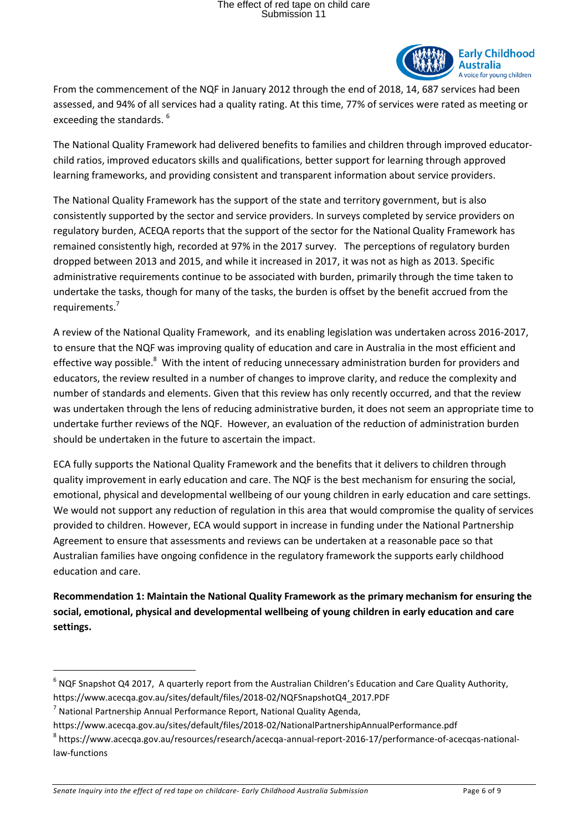

From the commencement of the NQF in January 2012 through the end of 2018, 14, 687 services had been assessed, and 94% of all services had a quality rating. At this time, 77% of services were rated as meeting or exceeding the standards.<sup>6</sup>

The National Quality Framework had delivered benefits to families and children through improved educatorchild ratios, improved educators skills and qualifications, better support for learning through approved learning frameworks, and providing consistent and transparent information about service providers.

The National Quality Framework has the support of the state and territory government, but is also consistently supported by the sector and service providers. In surveys completed by service providers on regulatory burden, ACEQA reports that the support of the sector for the National Quality Framework has remained consistently high, recorded at 97% in the 2017 survey. The perceptions of regulatory burden dropped between 2013 and 2015, and while it increased in 2017, it was not as high as 2013. Specific administrative requirements continue to be associated with burden, primarily through the time taken to undertake the tasks, though for many of the tasks, the burden is offset by the benefit accrued from the requirements.<sup>7</sup>

A review of the National Quality Framework, and its enabling legislation was undertaken across 2016-2017, to ensure that the NQF was improving quality of education and care in Australia in the most efficient and effective way possible.<sup>8</sup> With the intent of reducing unnecessary administration burden for providers and educators, the review resulted in a number of changes to improve clarity, and reduce the complexity and number of standards and elements. Given that this review has only recently occurred, and that the review was undertaken through the lens of reducing administrative burden, it does not seem an appropriate time to undertake further reviews of the NQF. However, an evaluation of the reduction of administration burden should be undertaken in the future to ascertain the impact.

ECA fully supports the National Quality Framework and the benefits that it delivers to children through quality improvement in early education and care. The NQF is the best mechanism for ensuring the social, emotional, physical and developmental wellbeing of our young children in early education and care settings. We would not support any reduction of regulation in this area that would compromise the quality of services provided to children. However, ECA would support in increase in funding under the National Partnership Agreement to ensure that assessments and reviews can be undertaken at a reasonable pace so that Australian families have ongoing confidence in the regulatory framework the supports early childhood education and care.

**Recommendation 1: Maintain the National Quality Framework as the primary mechanism for ensuring the social, emotional, physical and developmental wellbeing of young children in early education and care settings.** 

l

 $^6$  NQF Snapshot Q4 2017, A quarterly report from the Australian Children's Education and Care Quality Authority, https://www.acecqa.gov.au/sites/default/files/2018-02/NQFSnapshotQ4\_2017.PDF

<sup>&</sup>lt;sup>7</sup> National Partnership Annual Performance Report, National Quality Agenda,

https://www.acecqa.gov.au/sites/default/files/2018-02/NationalPartnershipAnnualPerformance.pdf

<sup>&</sup>lt;sup>8</sup> https://www.acecqa.gov.au/resources/research/acecqa-annual-report-2016-17/performance-of-acecqas-nationallaw-functions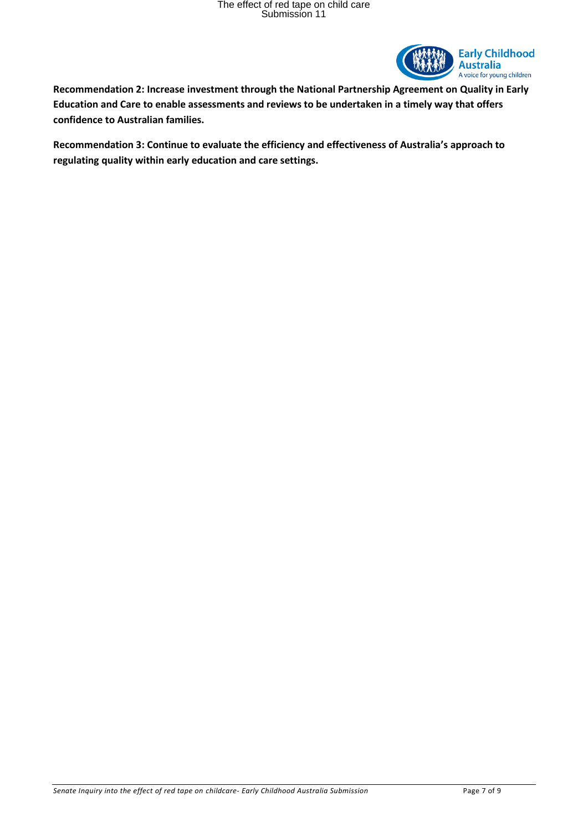

**Recommendation 2: Increase investment through the National Partnership Agreement on Quality in Early Education and Care to enable assessments and reviews to be undertaken in a timely way that offers confidence to Australian families.** 

**Recommendation 3: Continue to evaluate the efficiency and effectiveness of Australia's approach to regulating quality within early education and care settings.**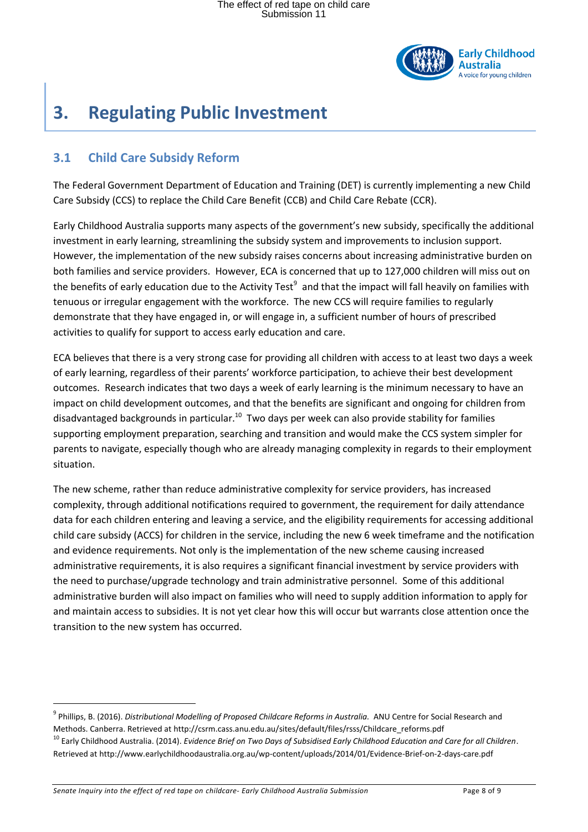

## <span id="page-7-0"></span>**3. Regulating Public Investment**

#### <span id="page-7-1"></span>**3.1 Child Care Subsidy Reform**

The Federal Government Department of Education and Training (DET) is currently implementing a new Child Care Subsidy (CCS) to replace the Child Care Benefit (CCB) and Child Care Rebate (CCR).

Early Childhood Australia supports many aspects of the government's new subsidy, specifically the additional investment in early learning, streamlining the subsidy system and improvements to inclusion support. However, the implementation of the new subsidy raises concerns about increasing administrative burden on both families and service providers. However, ECA is concerned that up to 127,000 children will miss out on the benefits of early education due to the Activity Test<sup>9</sup> and that the impact will fall heavily on families with tenuous or irregular engagement with the workforce. The new CCS will require families to regularly demonstrate that they have engaged in, or will engage in, a sufficient number of hours of prescribed activities to qualify for support to access early education and care.

ECA believes that there is a very strong case for providing all children with access to at least two days a week of early learning, regardless of their parents' workforce participation, to achieve their best development outcomes. Research indicates that two days a week of early learning is the minimum necessary to have an impact on child development outcomes, and that the benefits are significant and ongoing for children from disadvantaged backgrounds in particular.<sup>10</sup> Two days per week can also provide stability for families supporting employment preparation, searching and transition and would make the CCS system simpler for parents to navigate, especially though who are already managing complexity in regards to their employment situation.

The new scheme, rather than reduce administrative complexity for service providers, has increased complexity, through additional notifications required to government, the requirement for daily attendance data for each children entering and leaving a service, and the eligibility requirements for accessing additional child care subsidy (ACCS) for children in the service, including the new 6 week timeframe and the notification and evidence requirements. Not only is the implementation of the new scheme causing increased administrative requirements, it is also requires a significant financial investment by service providers with the need to purchase/upgrade technology and train administrative personnel. Some of this additional administrative burden will also impact on families who will need to supply addition information to apply for and maintain access to subsidies. It is not yet clear how this will occur but warrants close attention once the transition to the new system has occurred.

*Senate Inquiry into the effect of red tape on childcare- Early Childhood Australia Submission* Page 8 of 9

l

<sup>9</sup> Phillips, B. (2016). *Distributional Modelling of Proposed Childcare Reforms in Australia.* ANU Centre for Social Research and Methods. Canberra. Retrieved at http://csrm.cass.anu.edu.au/sites/default/files/rsss/Childcare\_reforms.pdf

<sup>10</sup> Early Childhood Australia. (2014). *Evidence Brief on Two Days of Subsidised Early Childhood Education and Care for all Children*. Retrieved at http://www.earlychildhoodaustralia.org.au/wp-content/uploads/2014/01/Evidence-Brief-on-2-days-care.pdf